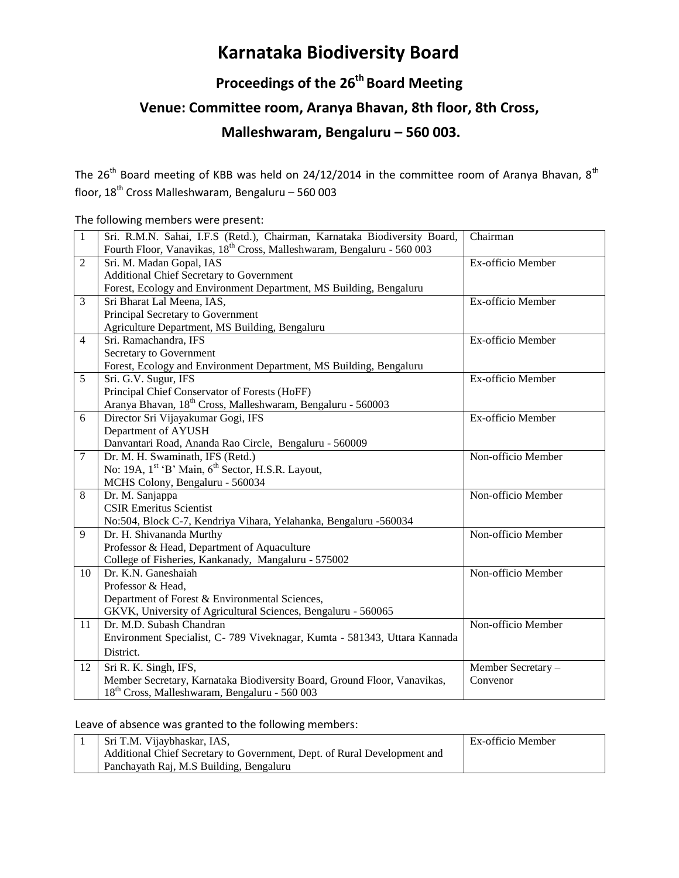# **Karnataka Biodiversity Board**

## **Proceedings of the 26 th Board Meeting**

### **Venue: Committee room, Aranya Bhavan, 8th floor, 8th Cross,**

#### **Malleshwaram, Bengaluru – 560 003.**

The 26<sup>th</sup> Board meeting of KBB was held on 24/12/2014 in the committee room of Aranya Bhavan,  $8^{th}$ floor, 18th Cross Malleshwaram, Bengaluru – 560 003

The following members were present:

| $\mathbf{1}$   | Sri. R.M.N. Sahai, I.F.S (Retd.), Chairman, Karnataka Biodiversity Board,          | Chairman           |
|----------------|------------------------------------------------------------------------------------|--------------------|
|                | Fourth Floor, Vanavikas, 18 <sup>th</sup> Cross, Malleshwaram, Bengaluru - 560 003 |                    |
| 2              | Sri. M. Madan Gopal, IAS                                                           | Ex-officio Member  |
|                | Additional Chief Secretary to Government                                           |                    |
|                | Forest, Ecology and Environment Department, MS Building, Bengaluru                 |                    |
| 3              | Sri Bharat Lal Meena, IAS,                                                         | Ex-officio Member  |
|                | Principal Secretary to Government                                                  |                    |
|                | Agriculture Department, MS Building, Bengaluru                                     |                    |
| $\overline{4}$ | Sri. Ramachandra, IFS                                                              | Ex-officio Member  |
|                | Secretary to Government                                                            |                    |
|                | Forest, Ecology and Environment Department, MS Building, Bengaluru                 |                    |
| $\overline{5}$ | Sri. G.V. Sugur, IFS                                                               | Ex-officio Member  |
|                | Principal Chief Conservator of Forests (HoFF)                                      |                    |
|                | Aranya Bhavan, 18 <sup>th</sup> Cross, Malleshwaram, Bengaluru - 560003            |                    |
| 6              | Director Sri Vijayakumar Gogi, IFS                                                 | Ex-officio Member  |
|                | Department of AYUSH                                                                |                    |
|                | Danvantari Road, Ananda Rao Circle, Bengaluru - 560009                             |                    |
| $\tau$         | Dr. M. H. Swaminath, IFS (Retd.)                                                   | Non-officio Member |
|                | No: 19A, 1 <sup>st</sup> 'B' Main, 6 <sup>th</sup> Sector, H.S.R. Layout,          |                    |
|                | MCHS Colony, Bengaluru - 560034                                                    |                    |
| 8              | Dr. M. Sanjappa                                                                    | Non-officio Member |
|                | <b>CSIR Emeritus Scientist</b>                                                     |                    |
|                | No:504, Block C-7, Kendriya Vihara, Yelahanka, Bengaluru -560034                   |                    |
| $\mathbf{Q}$   | Dr. H. Shivananda Murthy                                                           | Non-officio Member |
|                | Professor & Head, Department of Aquaculture                                        |                    |
|                | College of Fisheries, Kankanady, Mangaluru - 575002                                |                    |
| 10             | Dr. K.N. Ganeshaiah                                                                | Non-officio Member |
|                | Professor & Head,                                                                  |                    |
|                | Department of Forest & Environmental Sciences,                                     |                    |
|                | GKVK, University of Agricultural Sciences, Bengaluru - 560065                      |                    |
| 11             | Dr. M.D. Subash Chandran                                                           | Non-officio Member |
|                | Environment Specialist, C-789 Viveknagar, Kumta - 581343, Uttara Kannada           |                    |
|                | District.                                                                          |                    |
| 12             | Sri R. K. Singh, IFS,                                                              | Member Secretary - |
|                | Member Secretary, Karnataka Biodiversity Board, Ground Floor, Vanavikas,           | Convenor           |
|                | 18 <sup>th</sup> Cross, Malleshwaram, Bengaluru - 560 003                          |                    |

#### Leave of absence was granted to the following members:

|  | Sri T.M. Vijaybhaskar, IAS,                                              | Ex-officio Member |
|--|--------------------------------------------------------------------------|-------------------|
|  | Additional Chief Secretary to Government, Dept. of Rural Development and |                   |
|  | Panchayath Raj, M.S Building, Bengaluru                                  |                   |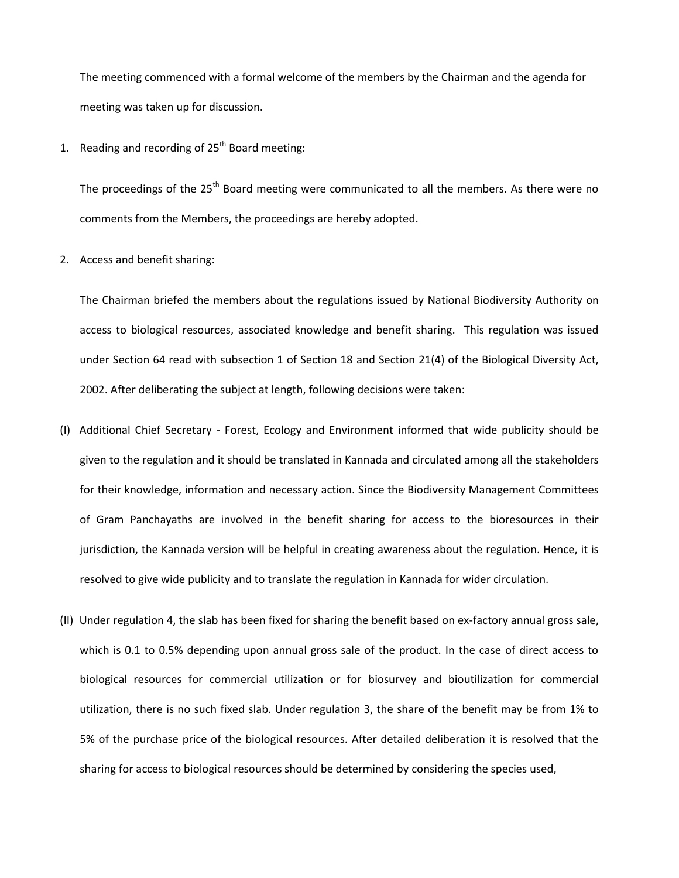The meeting commenced with a formal welcome of the members by the Chairman and the agenda for meeting was taken up for discussion.

1. Reading and recording of  $25<sup>th</sup>$  Board meeting:

The proceedings of the 25<sup>th</sup> Board meeting were communicated to all the members. As there were no comments from the Members, the proceedings are hereby adopted.

2. Access and benefit sharing:

The Chairman briefed the members about the regulations issued by National Biodiversity Authority on access to biological resources, associated knowledge and benefit sharing. This regulation was issued under Section 64 read with subsection 1 of Section 18 and Section 21(4) of the Biological Diversity Act, 2002. After deliberating the subject at length, following decisions were taken:

- (I) Additional Chief Secretary Forest, Ecology and Environment informed that wide publicity should be given to the regulation and it should be translated in Kannada and circulated among all the stakeholders for their knowledge, information and necessary action. Since the Biodiversity Management Committees of Gram Panchayaths are involved in the benefit sharing for access to the bioresources in their jurisdiction, the Kannada version will be helpful in creating awareness about the regulation. Hence, it is resolved to give wide publicity and to translate the regulation in Kannada for wider circulation.
- (II) Under regulation 4, the slab has been fixed for sharing the benefit based on ex-factory annual gross sale, which is 0.1 to 0.5% depending upon annual gross sale of the product. In the case of direct access to biological resources for commercial utilization or for biosurvey and bioutilization for commercial utilization, there is no such fixed slab. Under regulation 3, the share of the benefit may be from 1% to 5% of the purchase price of the biological resources. After detailed deliberation it is resolved that the sharing for access to biological resources should be determined by considering the species used,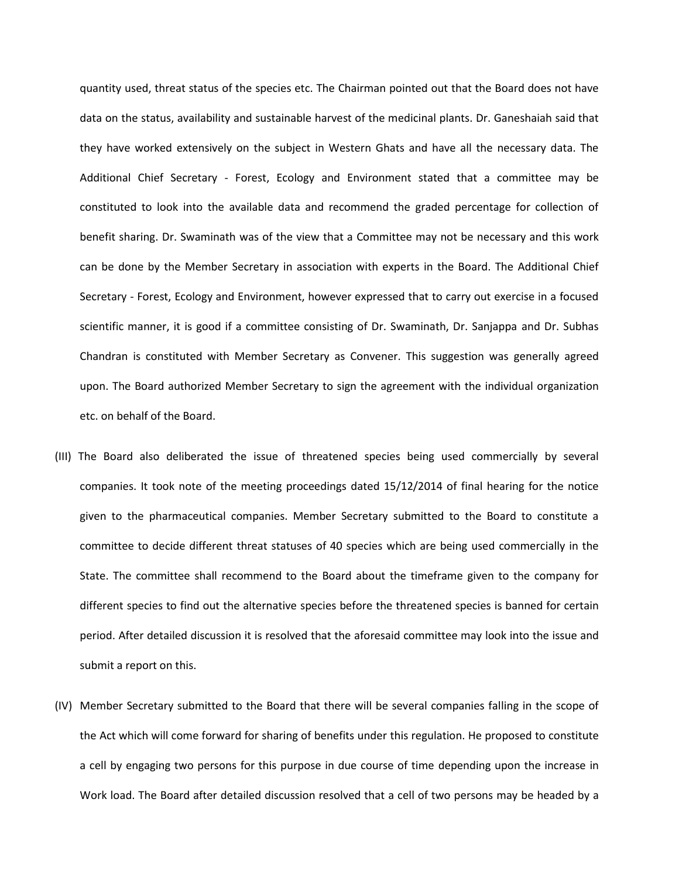quantity used, threat status of the species etc. The Chairman pointed out that the Board does not have data on the status, availability and sustainable harvest of the medicinal plants. Dr. Ganeshaiah said that they have worked extensively on the subject in Western Ghats and have all the necessary data. The Additional Chief Secretary - Forest, Ecology and Environment stated that a committee may be constituted to look into the available data and recommend the graded percentage for collection of benefit sharing. Dr. Swaminath was of the view that a Committee may not be necessary and this work can be done by the Member Secretary in association with experts in the Board. The Additional Chief Secretary - Forest, Ecology and Environment, however expressed that to carry out exercise in a focused scientific manner, it is good if a committee consisting of Dr. Swaminath, Dr. Sanjappa and Dr. Subhas Chandran is constituted with Member Secretary as Convener. This suggestion was generally agreed upon. The Board authorized Member Secretary to sign the agreement with the individual organization etc. on behalf of the Board.

- (III) The Board also deliberated the issue of threatened species being used commercially by several companies. It took note of the meeting proceedings dated 15/12/2014 of final hearing for the notice given to the pharmaceutical companies. Member Secretary submitted to the Board to constitute a committee to decide different threat statuses of 40 species which are being used commercially in the State. The committee shall recommend to the Board about the timeframe given to the company for different species to find out the alternative species before the threatened species is banned for certain period. After detailed discussion it is resolved that the aforesaid committee may look into the issue and submit a report on this.
- (IV) Member Secretary submitted to the Board that there will be several companies falling in the scope of the Act which will come forward for sharing of benefits under this regulation. He proposed to constitute a cell by engaging two persons for this purpose in due course of time depending upon the increase in Work load. The Board after detailed discussion resolved that a cell of two persons may be headed by a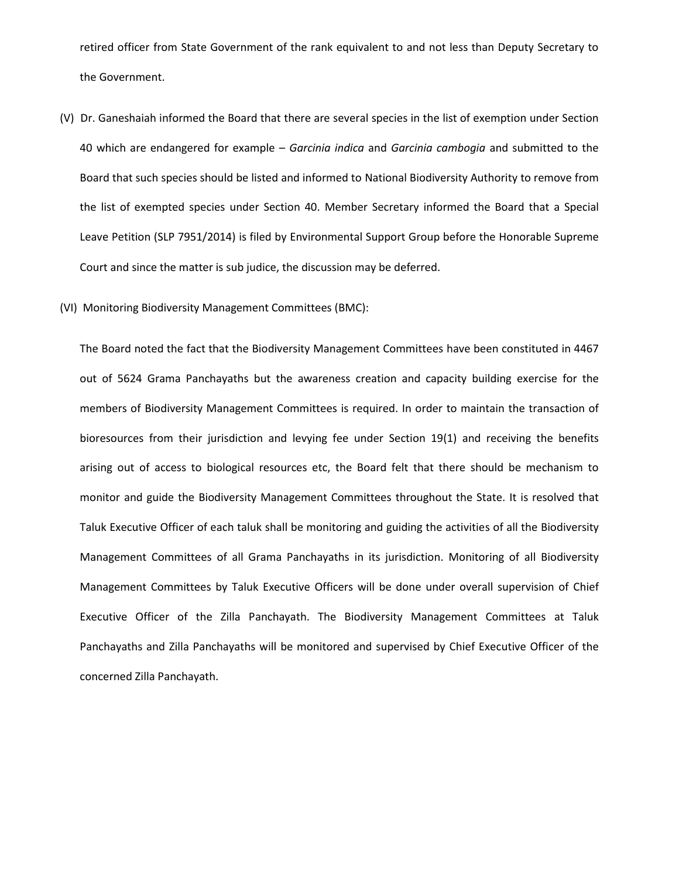retired officer from State Government of the rank equivalent to and not less than Deputy Secretary to the Government.

- (V) Dr. Ganeshaiah informed the Board that there are several species in the list of exemption under Section 40 which are endangered for example – *Garcinia indica* and *Garcinia cambogia* and submitted to the Board that such species should be listed and informed to National Biodiversity Authority to remove from the list of exempted species under Section 40. Member Secretary informed the Board that a Special Leave Petition (SLP 7951/2014) is filed by Environmental Support Group before the Honorable Supreme Court and since the matter is sub judice, the discussion may be deferred.
- (VI) Monitoring Biodiversity Management Committees (BMC):

The Board noted the fact that the Biodiversity Management Committees have been constituted in 4467 out of 5624 Grama Panchayaths but the awareness creation and capacity building exercise for the members of Biodiversity Management Committees is required. In order to maintain the transaction of bioresources from their jurisdiction and levying fee under Section 19(1) and receiving the benefits arising out of access to biological resources etc, the Board felt that there should be mechanism to monitor and guide the Biodiversity Management Committees throughout the State. It is resolved that Taluk Executive Officer of each taluk shall be monitoring and guiding the activities of all the Biodiversity Management Committees of all Grama Panchayaths in its jurisdiction. Monitoring of all Biodiversity Management Committees by Taluk Executive Officers will be done under overall supervision of Chief Executive Officer of the Zilla Panchayath. The Biodiversity Management Committees at Taluk Panchayaths and Zilla Panchayaths will be monitored and supervised by Chief Executive Officer of the concerned Zilla Panchayath.